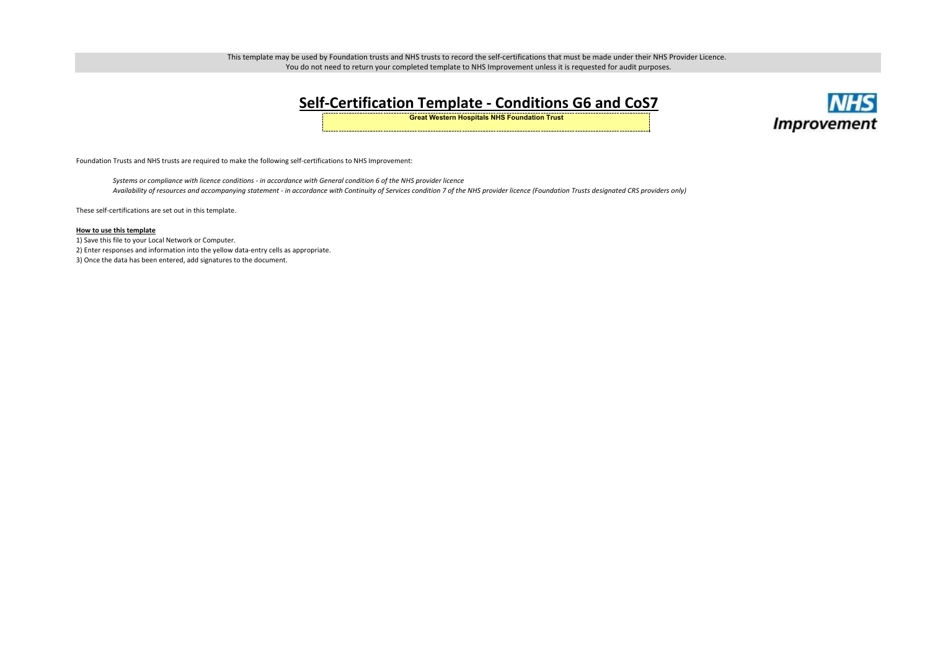## **Self-Certification Template - Conditions G6 and CoS7 Great Western Hospitals NHS Foundation Trust**

- 1) Save this file to your Local Network or Computer.
- 2) Enter responses and information into the yellow data-entry cells as appropriate.

3) Once the data has been entered, add signatures to the document.



This template may be used by Foundation trusts and NHS trusts to record the self-certifications that must be made under their NHS Provider Licence. You do not need to return your completed template to NHS Improvement unless it is requested for audit purposes.

## **How to use this template**

These self-certifications are set out in this template.

Foundation Trusts and NHS trusts are required to make the following self-certifications to NHS Improvement:

*Systems or compliance with licence conditions - in accordance with General condition 6 of the NHS provider licenceAvailability of resources and accompanying statement - in accordance with Continuity of Services condition 7 of the NHS provider licence (Foundation Trusts designated CRS providers only)*